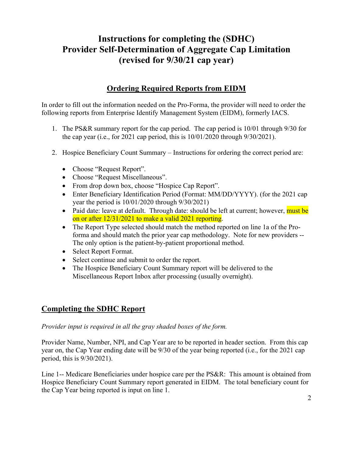## **Instructions for completing the (SDHC) Provider Self-Determination of Aggregate Cap Limitation (revised for 9/30/21 cap year)**

## **Ordering Required Reports from EIDM**

In order to fill out the information needed on the Pro-Forma, the provider will need to order the following reports from Enterprise Identify Management System (EIDM), formerly IACS.

- 1. The PS&R summary report for the cap period. The cap period is 10/01 through 9/30 for the cap year (i.e., for 2021 cap period, this is 10/01/2020 through 9/30/2021).
- 2. Hospice Beneficiary Count Summary Instructions for ordering the correct period are:
	- Choose "Request Report".
	- Choose "Request Miscellaneous".
	- From drop down box, choose "Hospice Cap Report".
	- Enter Beneficiary Identification Period (Format: MM/DD/YYYY). (for the 2021 cap year the period is 10/01/2020 through 9/30/2021)
	- Paid date: leave at default. Through date: should be left at current; however, must be on or after 12/31/2021 to make a valid 2021 reporting.
	- The Report Type selected should match the method reported on line 1a of the Proforma and should match the prior year cap methodology. Note for new providers -- The only option is the patient-by-patient proportional method.
	- Select Report Format.
	- Select continue and submit to order the report.
	- The Hospice Beneficiary Count Summary report will be delivered to the Miscellaneous Report Inbox after processing (usually overnight).

## **Completing the SDHC Report**

## *Provider input is required in all the gray shaded boxes of the form.*

Provider Name, Number, NPI, and Cap Year are to be reported in header section. From this cap year on, the Cap Year ending date will be 9/30 of the year being reported (i.e., for the 2021 cap period, this is 9/30/2021).

Line 1-- Medicare Beneficiaries under hospice care per the PS&R: This amount is obtained from Hospice Beneficiary Count Summary report generated in EIDM. The total beneficiary count for the Cap Year being reported is input on line 1.